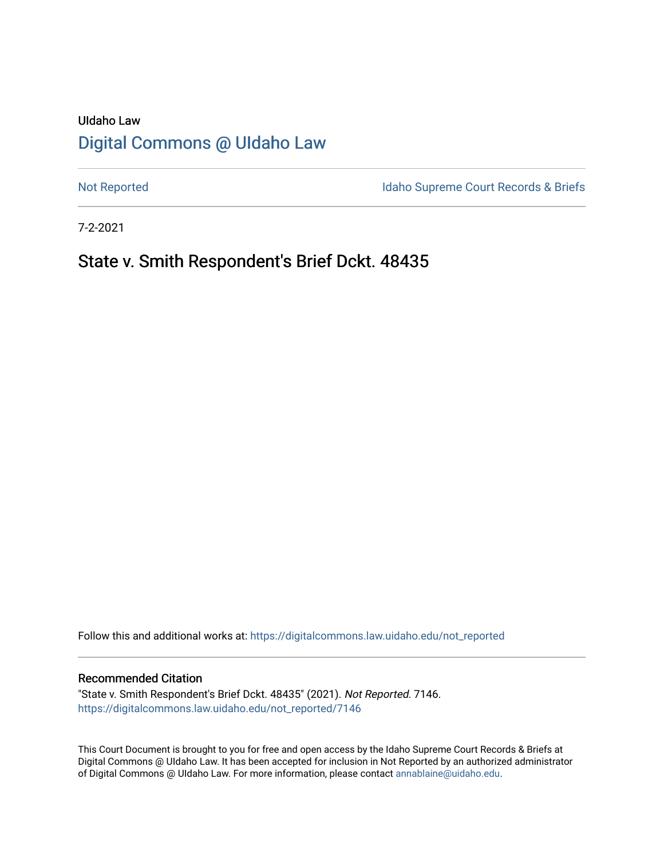# UIdaho Law [Digital Commons @ UIdaho Law](https://digitalcommons.law.uidaho.edu/)

[Not Reported](https://digitalcommons.law.uidaho.edu/not_reported) **Idaho Supreme Court Records & Briefs** 

7-2-2021

## State v. Smith Respondent's Brief Dckt. 48435

Follow this and additional works at: [https://digitalcommons.law.uidaho.edu/not\\_reported](https://digitalcommons.law.uidaho.edu/not_reported?utm_source=digitalcommons.law.uidaho.edu%2Fnot_reported%2F7146&utm_medium=PDF&utm_campaign=PDFCoverPages) 

#### Recommended Citation

"State v. Smith Respondent's Brief Dckt. 48435" (2021). Not Reported. 7146. [https://digitalcommons.law.uidaho.edu/not\\_reported/7146](https://digitalcommons.law.uidaho.edu/not_reported/7146?utm_source=digitalcommons.law.uidaho.edu%2Fnot_reported%2F7146&utm_medium=PDF&utm_campaign=PDFCoverPages)

This Court Document is brought to you for free and open access by the Idaho Supreme Court Records & Briefs at Digital Commons @ UIdaho Law. It has been accepted for inclusion in Not Reported by an authorized administrator of Digital Commons @ UIdaho Law. For more information, please contact [annablaine@uidaho.edu](mailto:annablaine@uidaho.edu).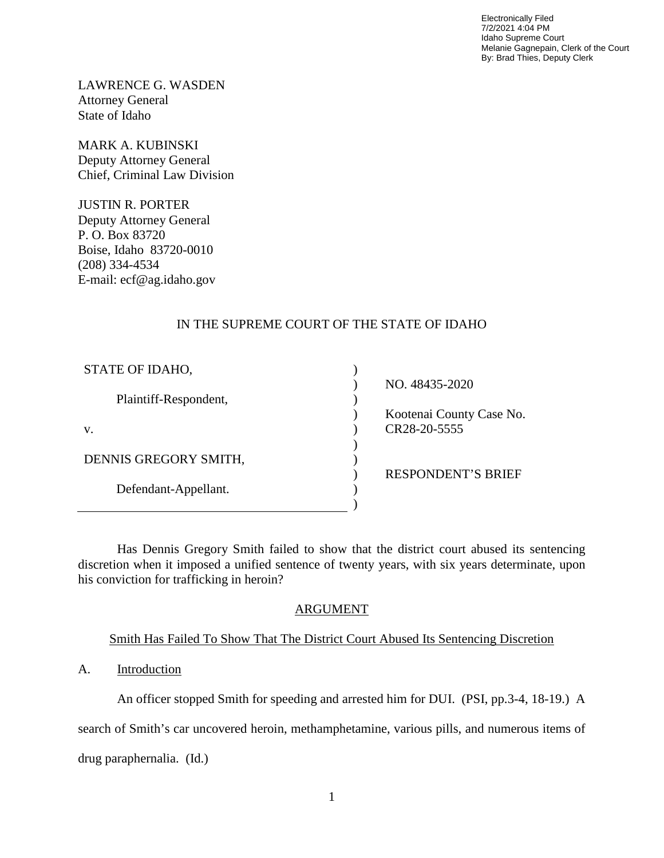Electronically Filed 7/2/2021 4:04 PM Idaho Supreme Court Melanie Gagnepain, Clerk of the Court By: Brad Thies, Deputy Clerk

LAWRENCE G. WASDEN Attorney General State of Idaho

MARK A. KUBINSKI Deputy Attorney General Chief, Criminal Law Division

JUSTIN R. PORTER Deputy Attorney General P. O. Box 83720 Boise, Idaho 83720-0010 (208) 334-4534 E-mail: ecf@ag.idaho.gov

## IN THE SUPREME COURT OF THE STATE OF IDAHO

| STATE OF IDAHO,       |                           |
|-----------------------|---------------------------|
|                       | NO. 48435-2020            |
| Plaintiff-Respondent, |                           |
|                       | Kootenai County Case No.  |
| V.                    | CR28-20-5555              |
|                       |                           |
| DENNIS GREGORY SMITH, |                           |
|                       | <b>RESPONDENT'S BRIEF</b> |
| Defendant-Appellant.  |                           |
|                       |                           |

Has Dennis Gregory Smith failed to show that the district court abused its sentencing discretion when it imposed a unified sentence of twenty years, with six years determinate, upon his conviction for trafficking in heroin?

#### ARGUMENT

#### Smith Has Failed To Show That The District Court Abused Its Sentencing Discretion

#### A. Introduction

An officer stopped Smith for speeding and arrested him for DUI. (PSI, pp.3-4, 18-19.) A

search of Smith's car uncovered heroin, methamphetamine, various pills, and numerous items of

drug paraphernalia. (Id.)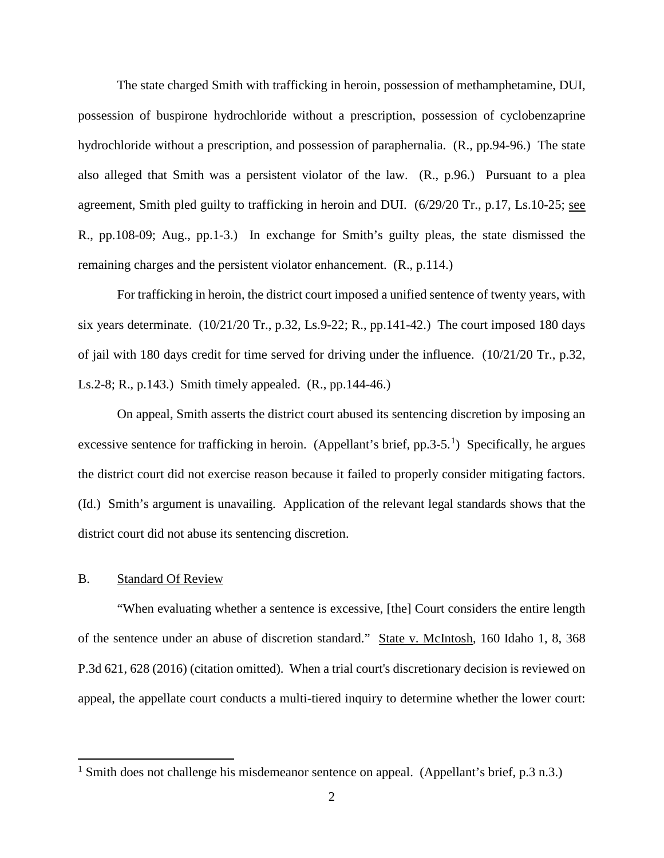The state charged Smith with trafficking in heroin, possession of methamphetamine, DUI, possession of buspirone hydrochloride without a prescription, possession of cyclobenzaprine hydrochloride without a prescription, and possession of paraphernalia. (R., pp.94-96.) The state also alleged that Smith was a persistent violator of the law. (R., p.96.) Pursuant to a plea agreement, Smith pled guilty to trafficking in heroin and DUI. (6/29/20 Tr., p.17, Ls.10-25; see R., pp.108-09; Aug., pp.1-3.) In exchange for Smith's guilty pleas, the state dismissed the remaining charges and the persistent violator enhancement. (R., p.114.)

For trafficking in heroin, the district court imposed a unified sentence of twenty years, with six years determinate.  $(10/21/20 \text{ Tr.}, p.32, Ls.9-22; R., pp.141-42.)$  The court imposed 180 days of jail with 180 days credit for time served for driving under the influence. (10/21/20 Tr., p.32, Ls.2-8; R., p.143.) Smith timely appealed. (R., pp.144-46.)

On appeal, Smith asserts the district court abused its sentencing discretion by imposing an excessive sentence for trafficking in heroin. (Appellant's brief, pp.3-5.<sup>[1](#page-2-0)</sup>) Specifically, he argues the district court did not exercise reason because it failed to properly consider mitigating factors. (Id.) Smith's argument is unavailing. Application of the relevant legal standards shows that the district court did not abuse its sentencing discretion.

#### B. Standard Of Review

 $\overline{a}$ 

"When evaluating whether a sentence is excessive, [the] Court considers the entire length of the sentence under an abuse of discretion standard." State v. McIntosh, 160 Idaho 1, 8, 368 P.3d 621, 628 (2016) (citation omitted). When a trial court's discretionary decision is reviewed on appeal, the appellate court conducts a multi-tiered inquiry to determine whether the lower court:

<span id="page-2-0"></span><sup>&</sup>lt;sup>1</sup> Smith does not challenge his misdemeanor sentence on appeal. (Appellant's brief, p.3 n.3.)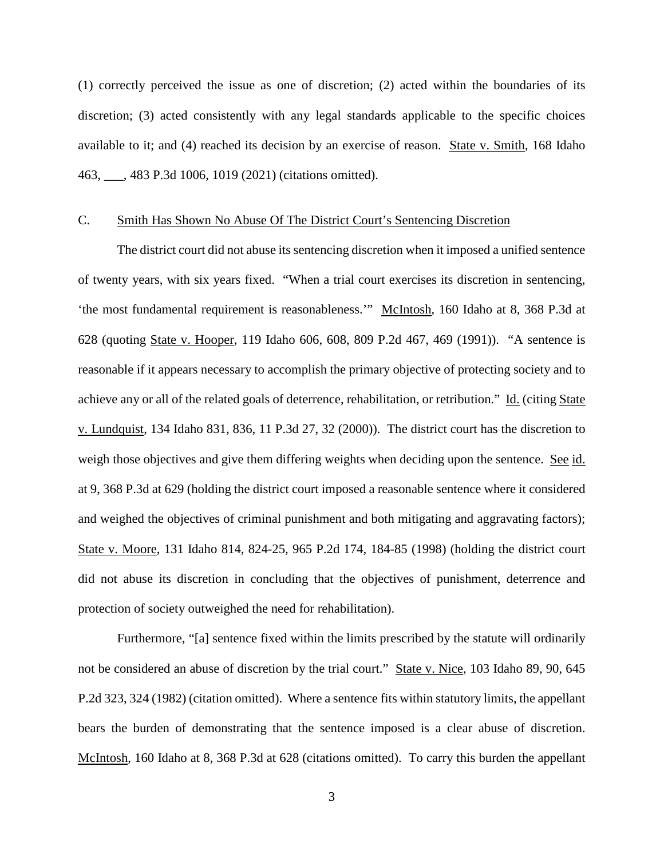(1) correctly perceived the issue as one of discretion; (2) acted within the boundaries of its discretion; (3) acted consistently with any legal standards applicable to the specific choices available to it; and (4) reached its decision by an exercise of reason. State v. Smith, 168 Idaho 463, \_\_\_, 483 P.3d 1006, 1019 (2021) (citations omitted).

#### C. Smith Has Shown No Abuse Of The District Court's Sentencing Discretion

The district court did not abuse its sentencing discretion when it imposed a unified sentence of twenty years, with six years fixed. "When a trial court exercises its discretion in sentencing, 'the most fundamental requirement is reasonableness.'" McIntosh, 160 Idaho at 8, 368 P.3d at 628 (quoting State v. Hooper, 119 Idaho 606, 608, 809 P.2d 467, 469 (1991)). "A sentence is reasonable if it appears necessary to accomplish the primary objective of protecting society and to achieve any or all of the related goals of deterrence, rehabilitation, or retribution." Id. (citing State v. Lundquist, 134 Idaho 831, 836, 11 P.3d 27, 32 (2000)). The district court has the discretion to weigh those objectives and give them differing weights when deciding upon the sentence. See id. at 9, 368 P.3d at 629 (holding the district court imposed a reasonable sentence where it considered and weighed the objectives of criminal punishment and both mitigating and aggravating factors); State v. Moore, 131 Idaho 814, 824-25, 965 P.2d 174, 184-85 (1998) (holding the district court did not abuse its discretion in concluding that the objectives of punishment, deterrence and protection of society outweighed the need for rehabilitation).

Furthermore, "[a] sentence fixed within the limits prescribed by the statute will ordinarily not be considered an abuse of discretion by the trial court." State v. Nice, 103 Idaho 89, 90, 645 P.2d 323, 324 (1982) (citation omitted). Where a sentence fits within statutory limits, the appellant bears the burden of demonstrating that the sentence imposed is a clear abuse of discretion. McIntosh, 160 Idaho at 8, 368 P.3d at 628 (citations omitted). To carry this burden the appellant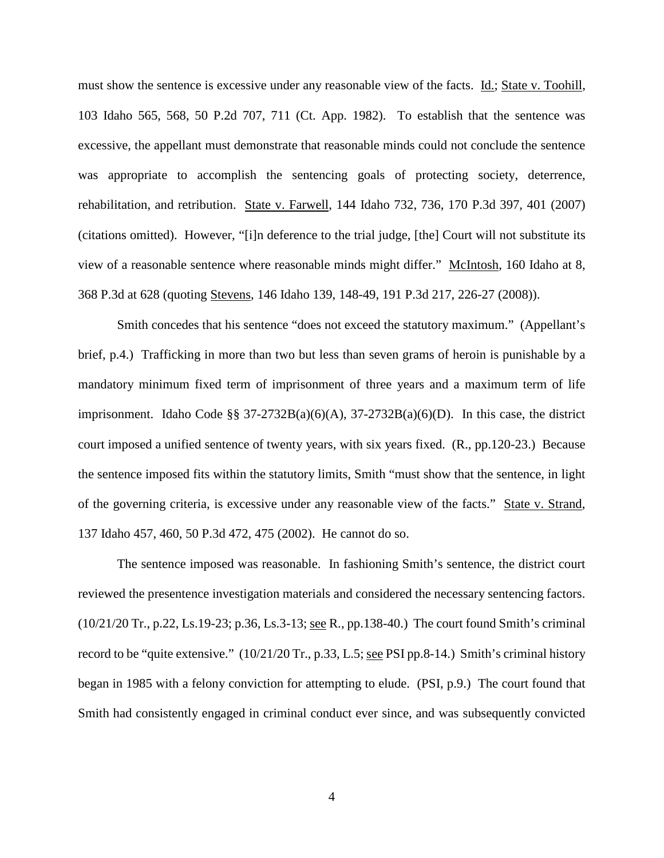must show the sentence is excessive under any reasonable view of the facts. Id.; State v. Toohill, 103 Idaho 565, 568, 50 P.2d 707, 711 (Ct. App. 1982). To establish that the sentence was excessive, the appellant must demonstrate that reasonable minds could not conclude the sentence was appropriate to accomplish the sentencing goals of protecting society, deterrence, rehabilitation, and retribution. State v. Farwell, 144 Idaho 732, 736, 170 P.3d 397, 401 (2007) (citations omitted). However, "[i]n deference to the trial judge, [the] Court will not substitute its view of a reasonable sentence where reasonable minds might differ." McIntosh, 160 Idaho at 8, 368 P.3d at 628 (quoting Stevens, 146 Idaho 139, 148-49, 191 P.3d 217, 226-27 (2008)).

Smith concedes that his sentence "does not exceed the statutory maximum." (Appellant's brief, p.4.) Trafficking in more than two but less than seven grams of heroin is punishable by a mandatory minimum fixed term of imprisonment of three years and a maximum term of life imprisonment. Idaho Code §§  $37-2732B(a)(6)(A)$ ,  $37-2732B(a)(6)(D)$ . In this case, the district court imposed a unified sentence of twenty years, with six years fixed. (R., pp.120-23.) Because the sentence imposed fits within the statutory limits, Smith "must show that the sentence, in light of the governing criteria, is excessive under any reasonable view of the facts." State v. Strand, 137 Idaho 457, 460, 50 P.3d 472, 475 (2002). He cannot do so.

The sentence imposed was reasonable. In fashioning Smith's sentence, the district court reviewed the presentence investigation materials and considered the necessary sentencing factors. (10/21/20 Tr., p.22, Ls.19-23; p.36, Ls.3-13; see R., pp.138-40.) The court found Smith's criminal record to be "quite extensive." (10/21/20 Tr., p.33, L.5; see PSI pp.8-14.) Smith's criminal history began in 1985 with a felony conviction for attempting to elude. (PSI, p.9.) The court found that Smith had consistently engaged in criminal conduct ever since, and was subsequently convicted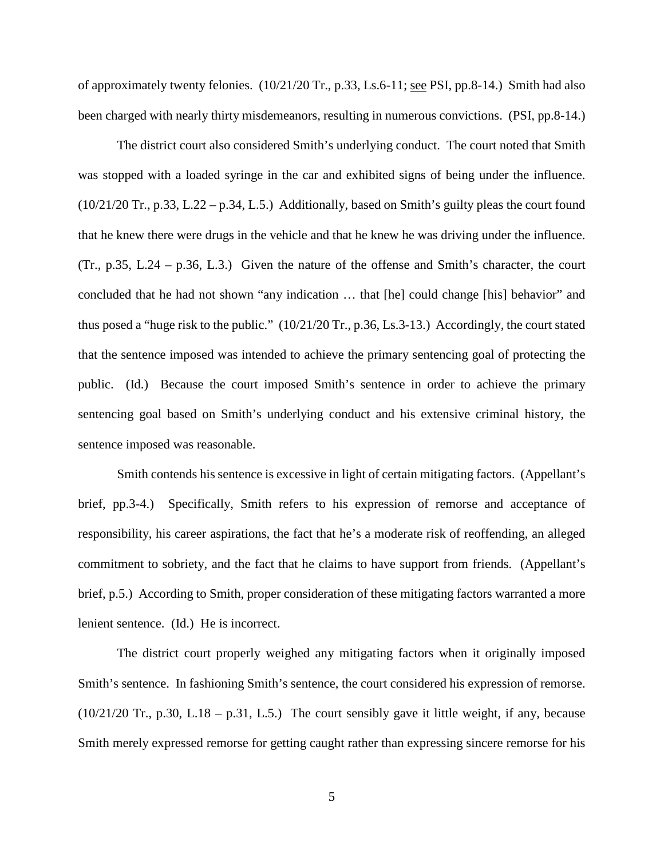of approximately twenty felonies. (10/21/20 Tr., p.33, Ls.6-11; see PSI, pp.8-14.) Smith had also been charged with nearly thirty misdemeanors, resulting in numerous convictions. (PSI, pp.8-14.)

The district court also considered Smith's underlying conduct. The court noted that Smith was stopped with a loaded syringe in the car and exhibited signs of being under the influence.  $(10/21/20 \text{ Tr}$ , p.33, L.22 – p.34, L.5.) Additionally, based on Smith's guilty pleas the court found that he knew there were drugs in the vehicle and that he knew he was driving under the influence. (Tr., p.35, L.24 – p.36, L.3.) Given the nature of the offense and Smith's character, the court concluded that he had not shown "any indication … that [he] could change [his] behavior" and thus posed a "huge risk to the public." (10/21/20 Tr., p.36, Ls.3-13.) Accordingly, the court stated that the sentence imposed was intended to achieve the primary sentencing goal of protecting the public. (Id.) Because the court imposed Smith's sentence in order to achieve the primary sentencing goal based on Smith's underlying conduct and his extensive criminal history, the sentence imposed was reasonable.

Smith contends his sentence is excessive in light of certain mitigating factors. (Appellant's brief, pp.3-4.) Specifically, Smith refers to his expression of remorse and acceptance of responsibility, his career aspirations, the fact that he's a moderate risk of reoffending, an alleged commitment to sobriety, and the fact that he claims to have support from friends. (Appellant's brief, p.5.) According to Smith, proper consideration of these mitigating factors warranted a more lenient sentence. (Id.) He is incorrect.

The district court properly weighed any mitigating factors when it originally imposed Smith's sentence. In fashioning Smith's sentence, the court considered his expression of remorse.  $(10/21/20 \text{ Tr}$ , p.30, L.18 – p.31, L.5.) The court sensibly gave it little weight, if any, because Smith merely expressed remorse for getting caught rather than expressing sincere remorse for his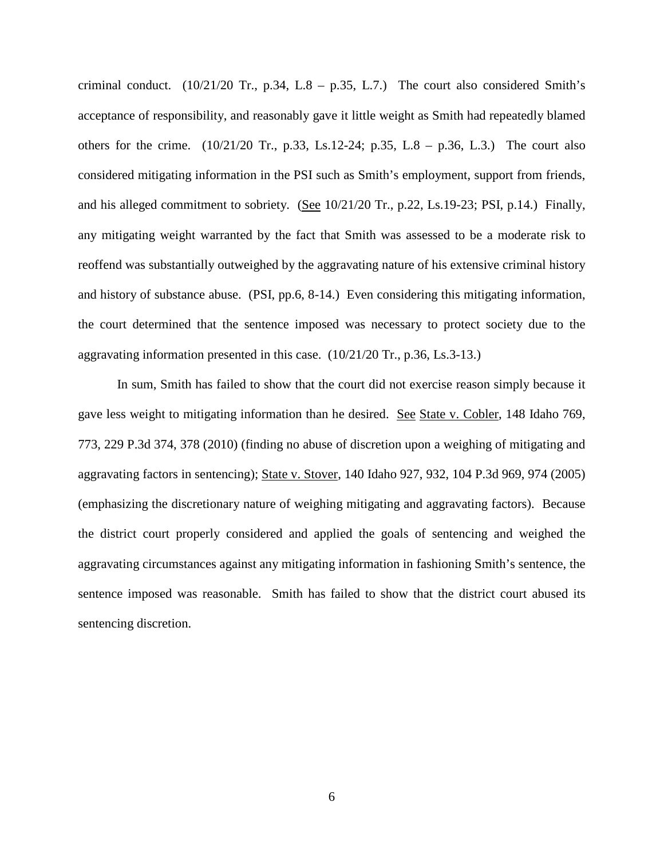criminal conduct. (10/21/20 Tr., p.34, L.8 – p.35, L.7.) The court also considered Smith's acceptance of responsibility, and reasonably gave it little weight as Smith had repeatedly blamed others for the crime.  $(10/21/20 \text{ Tr.}, p.33, Ls.12-24; p.35, L.8 - p.36, L.3.)$  The court also considered mitigating information in the PSI such as Smith's employment, support from friends, and his alleged commitment to sobriety. (See 10/21/20 Tr., p.22, Ls.19-23; PSI, p.14.) Finally, any mitigating weight warranted by the fact that Smith was assessed to be a moderate risk to reoffend was substantially outweighed by the aggravating nature of his extensive criminal history and history of substance abuse. (PSI, pp.6, 8-14.) Even considering this mitigating information, the court determined that the sentence imposed was necessary to protect society due to the aggravating information presented in this case. (10/21/20 Tr., p.36, Ls.3-13.)

In sum, Smith has failed to show that the court did not exercise reason simply because it gave less weight to mitigating information than he desired. See State v. Cobler, 148 Idaho 769, 773, 229 P.3d 374, 378 (2010) (finding no abuse of discretion upon a weighing of mitigating and aggravating factors in sentencing); State v. Stover, 140 Idaho 927, 932, 104 P.3d 969, 974 (2005) (emphasizing the discretionary nature of weighing mitigating and aggravating factors). Because the district court properly considered and applied the goals of sentencing and weighed the aggravating circumstances against any mitigating information in fashioning Smith's sentence, the sentence imposed was reasonable. Smith has failed to show that the district court abused its sentencing discretion.